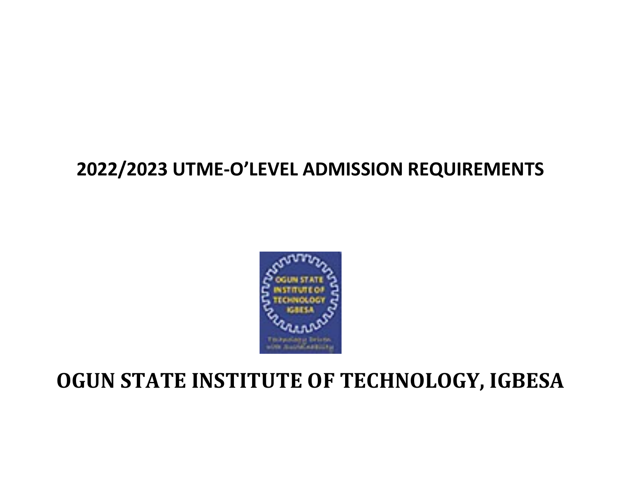

## 2022/2023 UTME-O'LEVEL ADMISSION REQUIREMENTS



# OGUN STATE INSTITUTE OF TECHNOLOGY, IGBESA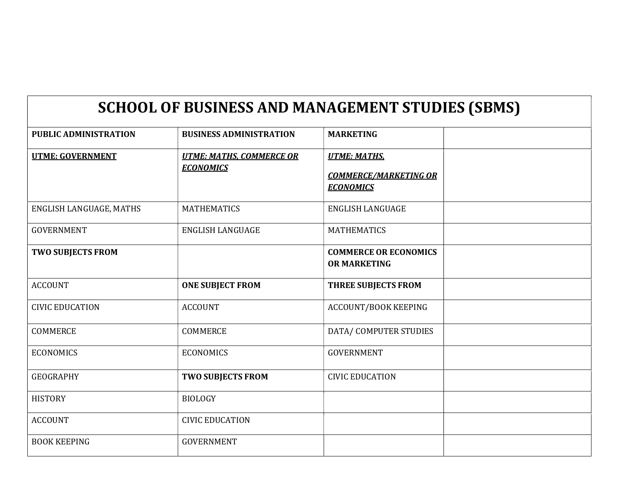#### SCHOOL OF BUSINESS AND MANAGEMENT STUDIES (SBMS)

| <b>PUBLIC ADMINISTRATION</b> | <b>BUSINESS ADMINISTRATION</b>                      | <b>MARKETING</b>                                                        |  |
|------------------------------|-----------------------------------------------------|-------------------------------------------------------------------------|--|
| <b>UTME: GOVERNMENT</b>      | <b>UTME: MATHS, COMMERCE OR</b><br><b>ECONOMICS</b> | <b>UTME: MATHS.</b><br><b>COMMERCE/MARKETING OR</b><br><b>ECONOMICS</b> |  |
| ENGLISH LANGUAGE, MATHS      | <b>MATHEMATICS</b>                                  | <b>ENGLISH LANGUAGE</b>                                                 |  |
| <b>GOVERNMENT</b>            | <b>ENGLISH LANGUAGE</b>                             | <b>MATHEMATICS</b>                                                      |  |
| <b>TWO SUBJECTS FROM</b>     |                                                     | <b>COMMERCE OR ECONOMICS</b><br><b>OR MARKETING</b>                     |  |
| <b>ACCOUNT</b>               | <b>ONE SUBJECT FROM</b>                             | THREE SUBJECTS FROM                                                     |  |
| <b>CIVIC EDUCATION</b>       | <b>ACCOUNT</b>                                      | <b>ACCOUNT/BOOK KEEPING</b>                                             |  |
| COMMERCE                     | COMMERCE                                            | DATA/ COMPUTER STUDIES                                                  |  |
| <b>ECONOMICS</b>             | <b>ECONOMICS</b>                                    | <b>GOVERNMENT</b>                                                       |  |
| <b>GEOGRAPHY</b>             | <b>TWO SUBJECTS FROM</b>                            | <b>CIVIC EDUCATION</b>                                                  |  |
| <b>HISTORY</b>               | <b>BIOLOGY</b>                                      |                                                                         |  |
| <b>ACCOUNT</b>               | <b>CIVIC EDUCATION</b>                              |                                                                         |  |
| <b>BOOK KEEPING</b>          | <b>GOVERNMENT</b>                                   |                                                                         |  |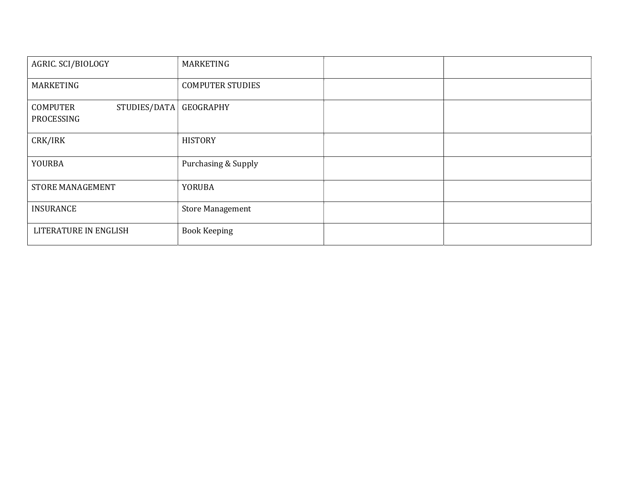| AGRIC. SCI/BIOLOGY                            | MARKETING               |  |
|-----------------------------------------------|-------------------------|--|
| MARKETING                                     | <b>COMPUTER STUDIES</b> |  |
| STUDIES/DATA<br><b>COMPUTER</b><br>PROCESSING | GEOGRAPHY               |  |
| CRK/IRK                                       | <b>HISTORY</b>          |  |
| YOURBA                                        | Purchasing & Supply     |  |
| STORE MANAGEMENT                              | <b>YORUBA</b>           |  |
| <b>INSURANCE</b>                              | <b>Store Management</b> |  |
| LITERATURE IN ENGLISH                         | <b>Book Keeping</b>     |  |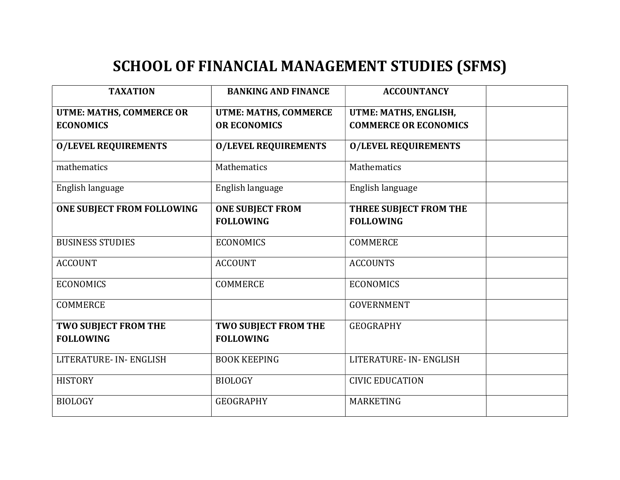## SCHOOL OF FINANCIAL MANAGEMENT STUDIES (SFMS)

| <b>TAXATION</b>                 | <b>BANKING AND FINANCE</b>   | <b>ACCOUNTANCY</b>           |  |
|---------------------------------|------------------------------|------------------------------|--|
| <b>UTME: MATHS, COMMERCE OR</b> | <b>UTME: MATHS, COMMERCE</b> | UTME: MATHS, ENGLISH,        |  |
| <b>ECONOMICS</b>                | <b>OR ECONOMICS</b>          | <b>COMMERCE OR ECONOMICS</b> |  |
| <b>O/LEVEL REQUIREMENTS</b>     | <b>O/LEVEL REQUIREMENTS</b>  | <b>O/LEVEL REQUIREMENTS</b>  |  |
| mathematics                     | Mathematics                  | Mathematics                  |  |
| English language                | English language             | English language             |  |
| ONE SUBJECT FROM FOLLOWING      | <b>ONE SUBJECT FROM</b>      | THREE SUBJECT FROM THE       |  |
|                                 | <b>FOLLOWING</b>             | <b>FOLLOWING</b>             |  |
| <b>BUSINESS STUDIES</b>         | <b>ECONOMICS</b>             | <b>COMMERCE</b>              |  |
| <b>ACCOUNT</b>                  | <b>ACCOUNT</b>               | <b>ACCOUNTS</b>              |  |
| <b>ECONOMICS</b>                | <b>COMMERCE</b>              | <b>ECONOMICS</b>             |  |
| <b>COMMERCE</b>                 |                              | <b>GOVERNMENT</b>            |  |
| TWO SUBJECT FROM THE            | TWO SUBJECT FROM THE         | <b>GEOGRAPHY</b>             |  |
| <b>FOLLOWING</b>                | <b>FOLLOWING</b>             |                              |  |
| LITERATURE- IN- ENGLISH         | <b>BOOK KEEPING</b>          | LITERATURE- IN- ENGLISH      |  |
| <b>HISTORY</b>                  | <b>BIOLOGY</b>               | <b>CIVIC EDUCATION</b>       |  |
| <b>BIOLOGY</b>                  | <b>GEOGRAPHY</b>             | <b>MARKETING</b>             |  |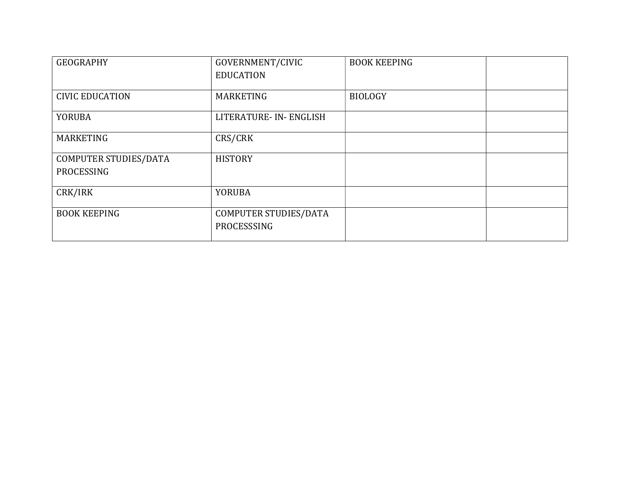| <b>GEOGRAPHY</b>       | GOVERNMENT/CIVIC<br><b>EDUCATION</b> | <b>BOOK KEEPING</b> |  |
|------------------------|--------------------------------------|---------------------|--|
|                        |                                      |                     |  |
| <b>CIVIC EDUCATION</b> | <b>MARKETING</b>                     | <b>BIOLOGY</b>      |  |
| <b>YORUBA</b>          | LITERATURE- IN- ENGLISH              |                     |  |
| <b>MARKETING</b>       | CRS/CRK                              |                     |  |
| COMPUTER STUDIES/DATA  | <b>HISTORY</b>                       |                     |  |
| PROCESSING             |                                      |                     |  |
| CRK/IRK                | <b>YORUBA</b>                        |                     |  |
| <b>BOOK KEEPING</b>    | COMPUTER STUDIES/DATA<br>PROCESSSING |                     |  |
|                        |                                      |                     |  |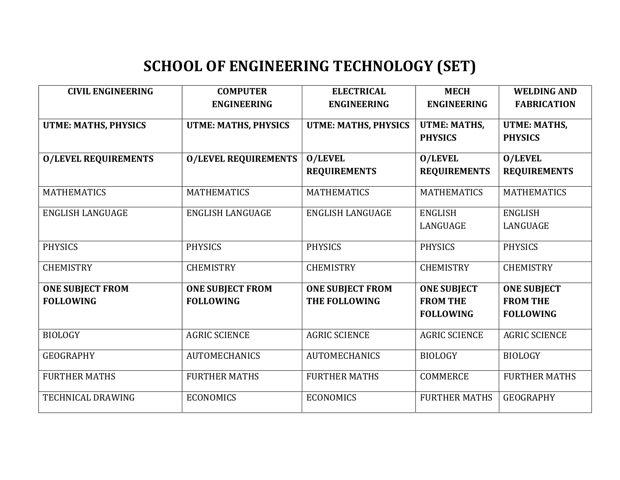## SCHOOL OF ENGINEERING TECHNOLOGY (SET)

| <b>CIVIL ENGINEERING</b>                    | <b>COMPUTER</b><br><b>ENGINEERING</b>       | <b>ELECTRICAL</b><br><b>ENGINEERING</b>  | <b>MECH</b><br><b>ENGINEERING</b>                         | <b>WELDING AND</b><br><b>FABRICATION</b>                  |
|---------------------------------------------|---------------------------------------------|------------------------------------------|-----------------------------------------------------------|-----------------------------------------------------------|
| <b>UTME: MATHS, PHYSICS</b>                 | <b>UTME: MATHS, PHYSICS</b>                 | <b>UTME: MATHS, PHYSICS</b>              | <b>UTME: MATHS,</b><br><b>PHYSICS</b>                     | <b>UTME: MATHS,</b><br><b>PHYSICS</b>                     |
| <b>O/LEVEL REQUIREMENTS</b>                 | <b>O/LEVEL REQUIREMENTS</b>                 | <b>O/LEVEL</b><br><b>REQUIREMENTS</b>    | <b>O/LEVEL</b><br><b>REQUIREMENTS</b>                     | <b>O/LEVEL</b><br><b>REQUIREMENTS</b>                     |
| <b>MATHEMATICS</b>                          | <b>MATHEMATICS</b>                          | <b>MATHEMATICS</b>                       | <b>MATHEMATICS</b>                                        | <b>MATHEMATICS</b>                                        |
| <b>ENGLISH LANGUAGE</b>                     | <b>ENGLISH LANGUAGE</b>                     | <b>ENGLISH LANGUAGE</b>                  | <b>ENGLISH</b><br>LANGUAGE                                | <b>ENGLISH</b><br>LANGUAGE                                |
| <b>PHYSICS</b>                              | <b>PHYSICS</b>                              | <b>PHYSICS</b>                           | <b>PHYSICS</b>                                            | <b>PHYSICS</b>                                            |
| <b>CHEMISTRY</b>                            | <b>CHEMISTRY</b>                            | <b>CHEMISTRY</b>                         | <b>CHEMISTRY</b>                                          | <b>CHEMISTRY</b>                                          |
| <b>ONE SUBJECT FROM</b><br><b>FOLLOWING</b> | <b>ONE SUBJECT FROM</b><br><b>FOLLOWING</b> | <b>ONE SUBJECT FROM</b><br>THE FOLLOWING | <b>ONE SUBJECT</b><br><b>FROM THE</b><br><b>FOLLOWING</b> | <b>ONE SUBJECT</b><br><b>FROM THE</b><br><b>FOLLOWING</b> |
| <b>BIOLOGY</b>                              | <b>AGRIC SCIENCE</b>                        | <b>AGRIC SCIENCE</b>                     | <b>AGRIC SCIENCE</b>                                      | <b>AGRIC SCIENCE</b>                                      |
| <b>GEOGRAPHY</b>                            | <b>AUTOMECHANICS</b>                        | <b>AUTOMECHANICS</b>                     | <b>BIOLOGY</b>                                            | <b>BIOLOGY</b>                                            |
| <b>FURTHER MATHS</b>                        | <b>FURTHER MATHS</b>                        | <b>FURTHER MATHS</b>                     | <b>COMMERCE</b>                                           | <b>FURTHER MATHS</b>                                      |
| <b>TECHNICAL DRAWING</b>                    | <b>ECONOMICS</b>                            | <b>ECONOMICS</b>                         | <b>FURTHER MATHS</b>                                      | <b>GEOGRAPHY</b>                                          |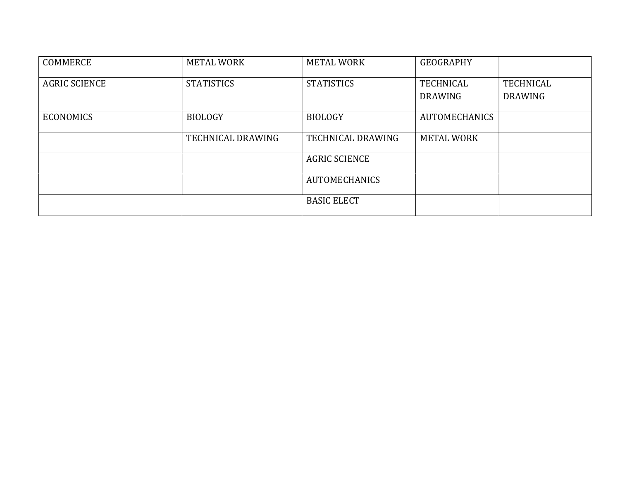| <b>COMMERCE</b>      | <b>METAL WORK</b> | <b>METAL WORK</b>    | <b>GEOGRAPHY</b>     |                  |
|----------------------|-------------------|----------------------|----------------------|------------------|
| <b>AGRIC SCIENCE</b> | <b>STATISTICS</b> | <b>STATISTICS</b>    | <b>TECHNICAL</b>     | <b>TECHNICAL</b> |
|                      |                   |                      | <b>DRAWING</b>       | <b>DRAWING</b>   |
| <b>ECONOMICS</b>     | <b>BIOLOGY</b>    | <b>BIOLOGY</b>       | <b>AUTOMECHANICS</b> |                  |
|                      | TECHNICAL DRAWING | TECHNICAL DRAWING    | <b>METAL WORK</b>    |                  |
|                      |                   | <b>AGRIC SCIENCE</b> |                      |                  |
|                      |                   | <b>AUTOMECHANICS</b> |                      |                  |
|                      |                   | <b>BASIC ELECT</b>   |                      |                  |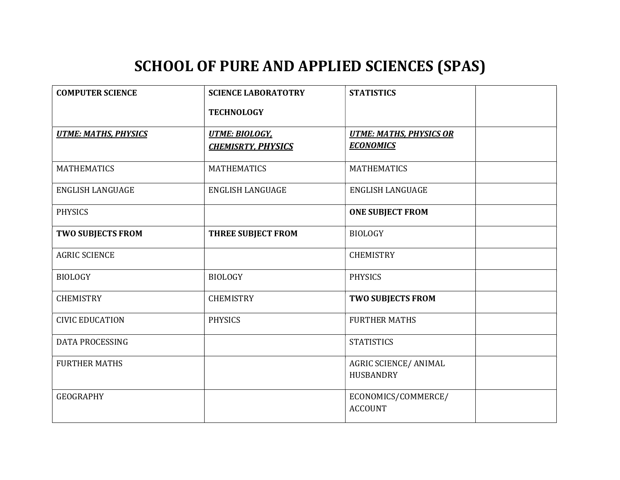#### SCHOOL OF PURE AND APPLIED SCIENCES (SPAS)

| <b>COMPUTER SCIENCE</b>     | <b>SCIENCE LABORATOTRY</b>                         | <b>STATISTICS</b>                                  |
|-----------------------------|----------------------------------------------------|----------------------------------------------------|
|                             | <b>TECHNOLOGY</b>                                  |                                                    |
| <b>UTME: MATHS, PHYSICS</b> | <b>UTME: BIOLOGY,</b><br><b>CHEMISRTY, PHYSICS</b> | <b>UTME: MATHS, PHYSICS OR</b><br><b>ECONOMICS</b> |
| <b>MATHEMATICS</b>          | <b>MATHEMATICS</b>                                 | <b>MATHEMATICS</b>                                 |
| <b>ENGLISH LANGUAGE</b>     | <b>ENGLISH LANGUAGE</b>                            | <b>ENGLISH LANGUAGE</b>                            |
| <b>PHYSICS</b>              |                                                    | <b>ONE SUBJECT FROM</b>                            |
| <b>TWO SUBJECTS FROM</b>    | <b>THREE SUBJECT FROM</b>                          | <b>BIOLOGY</b>                                     |
| <b>AGRIC SCIENCE</b>        |                                                    | <b>CHEMISTRY</b>                                   |
| <b>BIOLOGY</b>              | <b>BIOLOGY</b>                                     | <b>PHYSICS</b>                                     |
| <b>CHEMISTRY</b>            | <b>CHEMISTRY</b>                                   | <b>TWO SUBJECTS FROM</b>                           |
| <b>CIVIC EDUCATION</b>      | <b>PHYSICS</b>                                     | <b>FURTHER MATHS</b>                               |
| <b>DATA PROCESSING</b>      |                                                    | <b>STATISTICS</b>                                  |
| <b>FURTHER MATHS</b>        |                                                    | AGRIC SCIENCE/ ANIMAL<br>HUSBANDRY                 |
| <b>GEOGRAPHY</b>            |                                                    | ECONOMICS/COMMERCE/<br><b>ACCOUNT</b>              |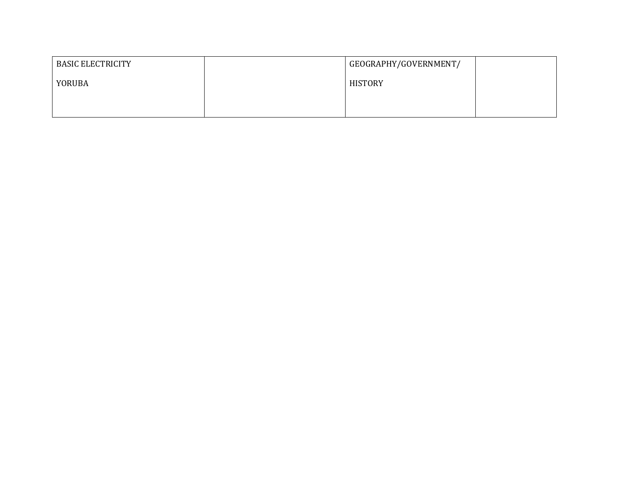| <b>BASIC ELECTRICITY</b> | GEOGRAPHY/GOVERNMENT/ |  |
|--------------------------|-----------------------|--|
| YORUBA                   | <b>HISTORY</b>        |  |
|                          |                       |  |
|                          |                       |  |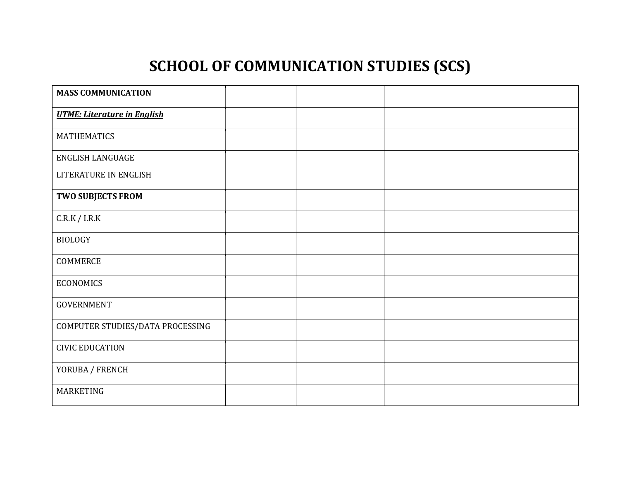## SCHOOL OF COMMUNICATION STUDIES (SCS)

| <b>MASS COMMUNICATION</b>          |  |  |
|------------------------------------|--|--|
| <b>UTME: Literature in English</b> |  |  |
| <b>MATHEMATICS</b>                 |  |  |
| ENGLISH LANGUAGE                   |  |  |
| LITERATURE IN ENGLISH              |  |  |
| TWO SUBJECTS FROM                  |  |  |
| $C.R.K$ / I.R.K                    |  |  |
| <b>BIOLOGY</b>                     |  |  |
| COMMERCE                           |  |  |
| <b>ECONOMICS</b>                   |  |  |
| GOVERNMENT                         |  |  |
| COMPUTER STUDIES/DATA PROCESSING   |  |  |
| <b>CIVIC EDUCATION</b>             |  |  |
| YORUBA / FRENCH                    |  |  |
| MARKETING                          |  |  |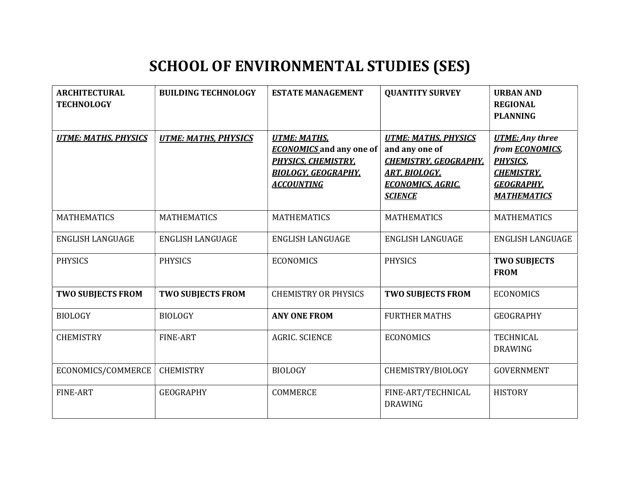#### SCHOOL OF ENVIRONMENTAL STUDIES (SES)

| <b>ARCHITECTURAL</b><br><b>TECHNOLOGY</b> | <b>BUILDING TECHNOLOGY</b>  | <b>ESTATE MANAGEMENT</b>                                                                                                                | <b>QUANTITY SURVEY</b>                                                                                                                              | <b>URBAN AND</b><br><b>REGIONAL</b><br><b>PLANNING</b>                                                                               |
|-------------------------------------------|-----------------------------|-----------------------------------------------------------------------------------------------------------------------------------------|-----------------------------------------------------------------------------------------------------------------------------------------------------|--------------------------------------------------------------------------------------------------------------------------------------|
| <b>UTME: MATHS, PHYSICS</b>               | <b>UTME: MATHS, PHYSICS</b> | <b>UTME: MATHS.</b><br><b>ECONOMICS</b> and any one of<br><b>PHYSICS, CHEMISTRY,</b><br><b>BIOLOGY, GEOGRAPHY,</b><br><b>ACCOUNTING</b> | <b>UTME: MATHS, PHYSICS</b><br>and any one of<br><b>CHEMISTRY, GEOGRAPHY,</b><br><b>ART, BIOLOGY,</b><br><b>ECONOMICS, AGRIC.</b><br><b>SCIENCE</b> | <b>UTME:</b> Any three<br>from <b>ECONOMICS</b> ,<br><b>PHYSICS,</b><br><b>CHEMISTRY,</b><br><b>GEOGRAPHY,</b><br><b>MATHEMATICS</b> |
| <b>MATHEMATICS</b>                        | <b>MATHEMATICS</b>          | <b>MATHEMATICS</b>                                                                                                                      | <b>MATHEMATICS</b>                                                                                                                                  | <b>MATHEMATICS</b>                                                                                                                   |
| <b>ENGLISH LANGUAGE</b>                   | <b>ENGLISH LANGUAGE</b>     | <b>ENGLISH LANGUAGE</b>                                                                                                                 | <b>ENGLISH LANGUAGE</b>                                                                                                                             | <b>ENGLISH LANGUAGE</b>                                                                                                              |
| <b>PHYSICS</b>                            | <b>PHYSICS</b>              | <b>ECONOMICS</b>                                                                                                                        | <b>PHYSICS</b>                                                                                                                                      | <b>TWO SUBJECTS</b><br><b>FROM</b>                                                                                                   |
| <b>TWO SUBJECTS FROM</b>                  | <b>TWO SUBJECTS FROM</b>    | <b>CHEMISTRY OR PHYSICS</b>                                                                                                             | <b>TWO SUBJECTS FROM</b>                                                                                                                            | <b>ECONOMICS</b>                                                                                                                     |
| <b>BIOLOGY</b>                            | <b>BIOLOGY</b>              | <b>ANY ONE FROM</b>                                                                                                                     | <b>FURTHER MATHS</b>                                                                                                                                | <b>GEOGRAPHY</b>                                                                                                                     |
| <b>CHEMISTRY</b>                          | FINE-ART                    | <b>AGRIC. SCIENCE</b>                                                                                                                   | <b>ECONOMICS</b>                                                                                                                                    | <b>TECHNICAL</b><br><b>DRAWING</b>                                                                                                   |
| ECONOMICS/COMMERCE                        | <b>CHEMISTRY</b>            | <b>BIOLOGY</b>                                                                                                                          | CHEMISTRY/BIOLOGY                                                                                                                                   | <b>GOVERNMENT</b>                                                                                                                    |
| <b>FINE-ART</b>                           | <b>GEOGRAPHY</b>            | <b>COMMERCE</b>                                                                                                                         | FINE-ART/TECHNICAL<br><b>DRAWING</b>                                                                                                                | <b>HISTORY</b>                                                                                                                       |